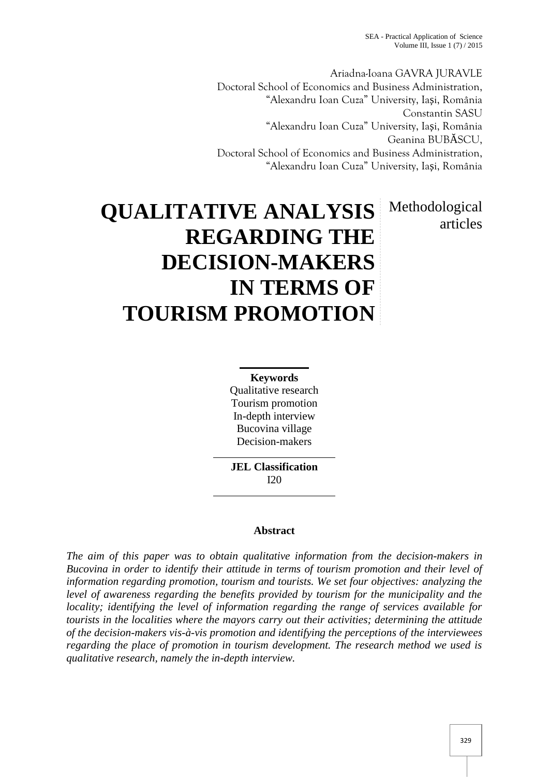SEA - Practical Application of Science Volume III, Issue  $1(7)/2015$ 

Ariadna-Ioana GAVRA JURAVLE Doctoral School of Economics and Business Administration, "Alexandru Ioan Cuza" University, Ia i, România Constantin SASU "Alexandru Ioan Cuza" University, Ia i, România Geanina BUB SCU, Doctoral School of Economics and Business Administration, "Alexandru Ioan Cuza" University, Ia i, România

# **QUALITATIVE ANALYSIS REGARDING THE DECISION-MAKERS IN TERMS OF TOURISM PROMOTION** Methodological articles

**Keywords** Qualitative research Tourism promotion In-depth interview Bucovina village Decision-makers

**JEL Classification** I20

# **Abstract**

*The aim of this paper was to obtain qualitative information from the decision-makers in Bucovina in order to identify their attitude in terms of tourism promotion and their level of information regarding promotion, tourism and tourists. We set four objectives: analyzing the level of awareness regarding the benefits provided by tourism for the municipality and the locality; identifying the level of information regarding the range of services available for tourists in the localities where the mayors carry out their activities; determining the attitude of the decision-makers vis-à-vis promotion and identifying the perceptions of the interviewees regarding the place of promotion in tourism development. The research method we used is qualitative research, namely the in-depth interview.*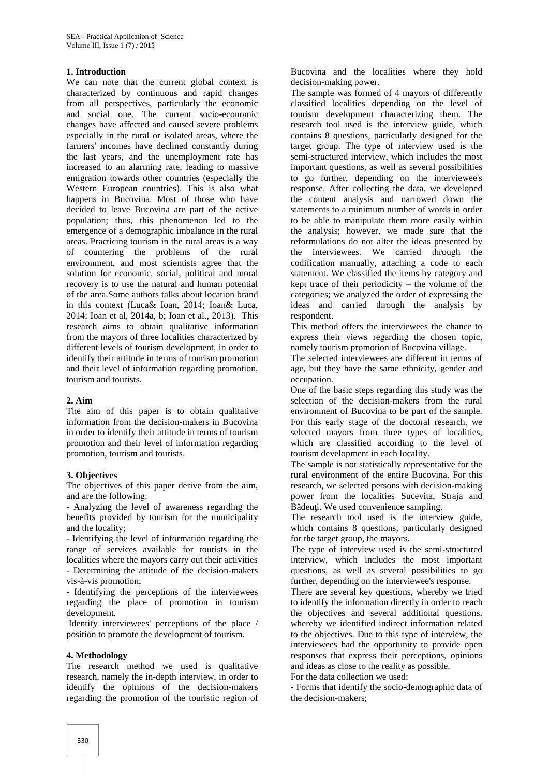## **1. Introduction**

We can note that the current global context is characterized by continuous and rapid changes from all perspectives, particularly the economic and social one. The current socio-economic changes have affected and caused severe problems especially in the rural or isolated areas, where the farmers' incomes have declined constantly during the last years, and the unemployment rate has increased to an alarming rate, leading to massive emigration towards other countries (especially the Western European countries). This is also what happens in Bucovina. Most of those who have decided to leave Bucovina are part of the active population; thus, this phenomenon led to the emergence of a demographic imbalance in the rural areas. Practicing tourism in the rural areas is a way of countering the problems of the rural environment, and most scientists agree that the solution for economic, social, political and moral recovery is to use the natural and human potential of the area.Some authors talks about location brand in this context (Luca& Ioan, 2014; Ioan& Luca, 2014; Ioan et al, 2014a, b; Ioan et al., 2013). This research aims to obtain qualitative information from the mayors of three localities characterized by different levels of tourism development, in order to identify their attitude in terms of tourism promotion and their level of information regarding promotion, tourism and tourists.

#### **2. Aim**

The aim of this paper is to obtain qualitative information from the decision-makers in Bucovina in order to identify their attitude in terms of tourism promotion and their level of information regarding promotion, tourism and tourists.

#### **3. Objectives**

The objectives of this paper derive from the aim, and are the following:

- Analyzing the level of awareness regarding the benefits provided by tourism for the municipality and the locality;

- Identifying the level of information regarding the range of services available for tourists in the localities where the mayors carry out their activities - Determining the attitude of the decision-makers vis-à-vis promotion;

- Identifying the perceptions of the interviewees regarding the place of promotion in tourism development.

Identify interviewees' perceptions of the place / position to promote the development of tourism.

#### **4. Methodology**

The research method we used is qualitative research, namely the in-depth interview, in order to identify the opinions of the decision-makers regarding the promotion of the touristic region of

Bucovina and the localities where they hold decision-making power.

The sample was formed of 4 mayors of differently classified localities depending on the level of tourism development characterizing them. The research tool used is the interview guide, which contains 8 questions, particularly designed for the target group. The type of interview used is the semi-structured interview, which includes the most important questions, as well as several possibilities to go further, depending on the interviewee's response. After collecting the data, we developed the content analysis and narrowed down the statements to a minimum number of words in order to be able to manipulate them more easily within the analysis; however, we made sure that the reformulations do not alter the ideas presented by the interviewees. We carried through the codification manually, attaching a code to each statement. We classified the items by category and kept trace of their periodicity – the volume of the categories; we analyzed the order of expressing the ideas and carried through the analysis by respondent.

This method offers the interviewees the chance to express their views regarding the chosen topic, namely tourism promotion of Bucovina village.

The selected interviewees are different in terms of age, but they have the same ethnicity, gender and occupation.

One of the basic steps regarding this study was the selection of the decision-makers from the rural environment of Bucovina to be part of the sample. For this early stage of the doctoral research, we selected mayors from three types of localities, which are classified according to the level of tourism development in each locality.

The sample is not statistically representative for the rural environment of the entire Bucovina. For this research, we selected persons with decision-making power from the localities Sucevita, Straja and B deu i. We used convenience sampling.

The research tool used is the interview guide, which contains 8 questions, particularly designed for the target group, the mayors.

The type of interview used is the semi-structured interview, which includes the most important questions, as well as several possibilities to go further, depending on the interviewee's response.

There are several key questions, whereby we tried to identify the information directly in order to reach the objectives and several additional questions, whereby we identified indirect information related to the objectives. Due to this type of interview, the interviewees had the opportunity to provide open responses that express their perceptions, opinions and ideas as close to the reality as possible.

For the data collection we used:

- Forms that identify the socio-demographic data of the decision-makers;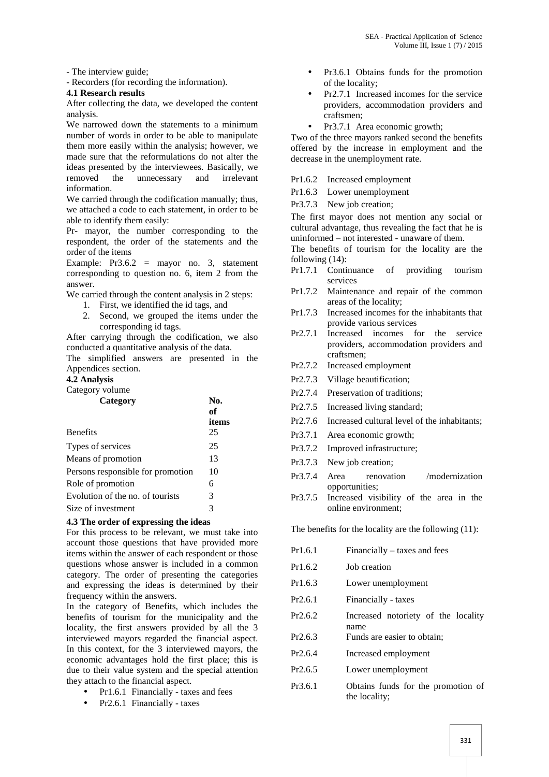- The interview guide;

- Recorders (for recording the information).

### **4.1 Research results**

After collecting the data, we developed the content analysis.

We narrowed down the statements to a minimum number of words in order to be able to manipulate them more easily within the analysis; however, we made sure that the reformulations do not alter the ideas presented by the interviewees. Basically, we<br>removed the unnecessary and irrelevant the unnecessary information.

We carried through the codification manually; thus, we attached a code to each statement, in order to be able to identify them easily:

Pr- mayor, the number corresponding to the respondent, the order of the statements and the order of the items

Example: Pr3.6.2 = mayor no. 3, statement corresponding to question no. 6, item 2 from the answer.

We carried through the content analysis in 2 steps:

- 1. First, we identified the id tags, and
	- 2. Second, we grouped the items under the corresponding id tags.

After carrying through the codification, we also  $Pr2.7.1$ conducted a quantitative analysis of the data.

The simplified answers are presented in the Appendices section.

# **4.2 Analysis**

Category volume

| Category                          | No.<br>оf   |
|-----------------------------------|-------------|
| <b>Benefits</b>                   | items<br>25 |
| Types of services                 | 25          |
| Means of promotion                | 13          |
| Persons responsible for promotion | 10          |
| Role of promotion                 | 6           |
| Evolution of the no. of tourists  | 3           |
| Size of investment                | 3           |

# **4.3 The order of expressing the ideas**

For this process to be relevant, we must take into account those questions that have provided more items within the answer of each respondent or those questions whose answer is included in a common category. The order of presenting the categories and expressing the ideas is determined by their frequency within the answers.

In the category of Benefits, which includes the benefits of tourism for the municipality and the locality, the first answers provided by all the 3 interviewed mayors regarded the financial aspect. In this context, for the 3 interviewed mayors, the economic advantages hold the first place; this is due to their value system and the special attention they attach to the financial aspect.

- Pr1.6.1 Financially taxes and fees
- Pr2.6.1 Financially taxes
- Pr3.6.1 Obtains funds for the promotion of the locality;
- Pr2.7.1 Increased incomes for the service providers, accommodation providers and craftsmen;
	- Pr3.7.1 Area economic growth;

Two of the three mayors ranked second the benefits offered by the increase in employment and the decrease in the unemployment rate.

Pr1.6.2 Increased employment

Pr1.6.3 Lower unemployment

Pr3.7.3 New job creation;

The first mayor does not mention any social or cultural advantage, thus revealing the fact that he is uninformed – not interested - unaware of them.

The benefits of tourism for the locality are the following (14):

- Pr1.7.1 Continuance of providing tourism services
- Pr1.7.2 Maintenance and repair of the common areas of the locality;
- Pr1.7.3 Increased incomes for the inhabitants that provide various services
- Increased incomes for the service providers, accommodation providers and craftsmen;
- Pr2.7.2 Increased employment
- Pr2.7.3 Village beautification;
- Pr2.7.4 Preservation of traditions;
- Pr2.7.5 Increased living standard;
- Pr2.7.6 Increased cultural level of the inhabitants;
- Pr3.7.1 Area economic growth;
- Pr3.7.2 Improved infrastructure;
- Pr3.7.3 New job creation;
- Pr3.7.4 Area renovation /modernization opportunities;
- Pr3.7.5 Increased visibility of the area in the online environment;

The benefits for the locality are the following (11):

| Pr1.6.1 | Financially – taxes and fees                        |
|---------|-----------------------------------------------------|
| Pr1.6.2 | Job creation                                        |
| Pr1.6.3 | Lower unemployment                                  |
| Pr2.6.1 | Financially - taxes                                 |
| Pr2.6.2 | Increased notoriety of the locality<br>name         |
| Pr2.6.3 | Funds are easier to obtain;                         |
| Pr2.6.4 | Increased employment                                |
| Pr2.6.5 | Lower unemployment                                  |
| Pr3.6.1 | Obtains funds for the promotion of<br>the locality; |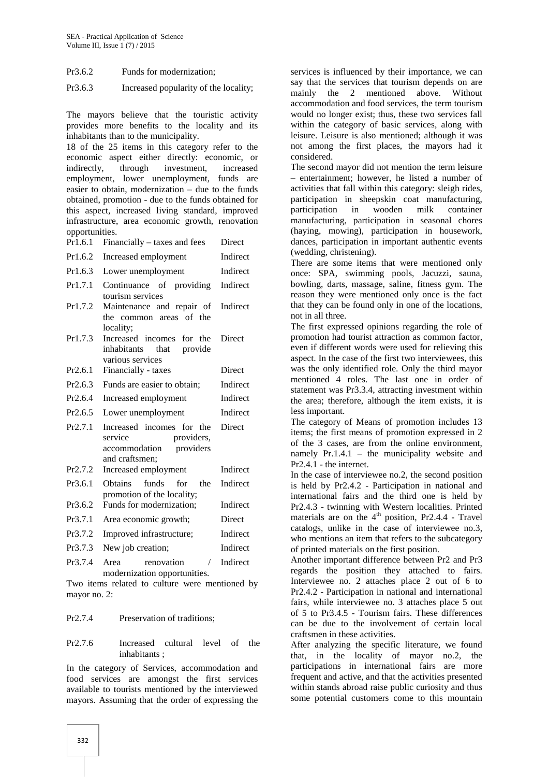Pr3.6.2 Funds for modernization;

Pr3.6.3 Increased popularity of the locality;

The mayors believe that the touristic activity provides more benefits to the locality and its inhabitants than to the municipality.

18 of the 25 items in this category refer to the economic aspect either directly: economic, or indirectly, through investment, increased employment, lower unemployment, funds are easier to obtain, modernization – due to the funds obtained, promotion - due to the funds obtained for this aspect, increased living standard, improved infrastructure, area economic growth, renovation opportunities.

|     |  | $Pr1.6.1$ Financially – taxes and fees | Direct |  |
|-----|--|----------------------------------------|--------|--|
| $-$ |  |                                        |        |  |

Pr1.6.2 Increased employment Indirect

- Pr1.6.3 Lower unemployment Indirect
- Pr1.7.1 Continuance of providing tourism services Indirect
- Pr1.7.2 Maintenance and repair of the common areas of the locality; Indirect Pr1.7.3 Increased incomes for the Direct
- inhabitants that provide various services Pr2.6.1 Financially - taxes Direct
- Pr2.6.3 Funds are easier to obtain; Indirect
- Pr2.6.4 Increased employment Indirect
- Pr2.6.5 Lower unemployment Indirect
- Pr2.7.1 Increased incomes for the service providers, **Direct**
- accommodation providers and craftsmen; Pr2.7.2 Increased employment Indirect Pr3.6.1 Obtains funds for the Indirect
- promotion of the locality; Pr3.6.2 Funds for modernization; Indirect
- Pr3.7.1 Area economic growth; Direct
- Pr3.7.2 Improved infrastructure; Indirect
- Pr3.7.3 New job creation; Indirect
- Pr3.7.4 Area renovation / Indirect modernization opportunities.

Two items related to culture were mentioned by mayor no. 2:

# Pr2.7.4 Preservation of traditions;

Pr2.7.6 Increased cultural level of the inhabitants ;

In the category of Services, accommodation and food services are amongst the first services available to tourists mentioned by the interviewed mayors. Assuming that the order of expressing the services is influenced by their importance, we can say that the services that tourism depends on are mainly the 2 mentioned above. Without accommodation and food services, the term tourism would no longer exist; thus, these two services fall within the category of basic services, along with leisure. Leisure is also mentioned; although it was not among the first places, the mayors had it considered.

The second mayor did not mention the term leisure – entertainment; however, he listed a number of activities that fall within this category: sleigh rides, participation in sheepskin coat manufacturing, participation in wooden milk container manufacturing, participation in seasonal chores (haying, mowing), participation in housework, dances, participation in important authentic events (wedding, christening).

There are some items that were mentioned only once: SPA, swimming pools, Jacuzzi, sauna, bowling, darts, massage, saline, fitness gym. The reason they were mentioned only once is the fact that they can be found only in one of the locations, not in all three.

The first expressed opinions regarding the role of promotion had tourist attraction as common factor, even if different words were used for relieving this aspect. In the case of the first two interviewees, this was the only identified role. Only the third mayor mentioned 4 roles. The last one in order of statement was Pr3.3.4, attracting investment within the area; therefore, although the item exists, it is less important.

The category of Means of promotion includes 13 items; the first means of promotion expressed in 2 of the 3 cases, are from the online environment, namely Pr.1.4.1 – the municipality website and Pr2.4.1 - the internet.

In the case of interviewee no.2, the second position is held by Pr2.4.2 - Participation in national and international fairs and the third one is held by Pr2.4.3 - twinning with Western localities. Printed materials are on the  $4<sup>th</sup>$  position, Pr2.4.4 - Travel catalogs, unlike in the case of interviewee no.3, who mentions an item that refers to the subcategory of printed materials on the first position.

Another important difference between Pr2 and Pr3 regards the position they attached to fairs. Interviewee no. 2 attaches place 2 out of 6 to Pr2.4.2 - Participation in national and international fairs, while interviewee no. 3 attaches place 5 out of 5 to Pr3.4.5 - Tourism fairs. These differences can be due to the involvement of certain local craftsmen in these activities.

After analyzing the specific literature, we found that, in the locality of mayor no.2, the participations in international fairs are more frequent and active, and that the activities presented within stands abroad raise public curiosity and thus some potential customers come to this mountain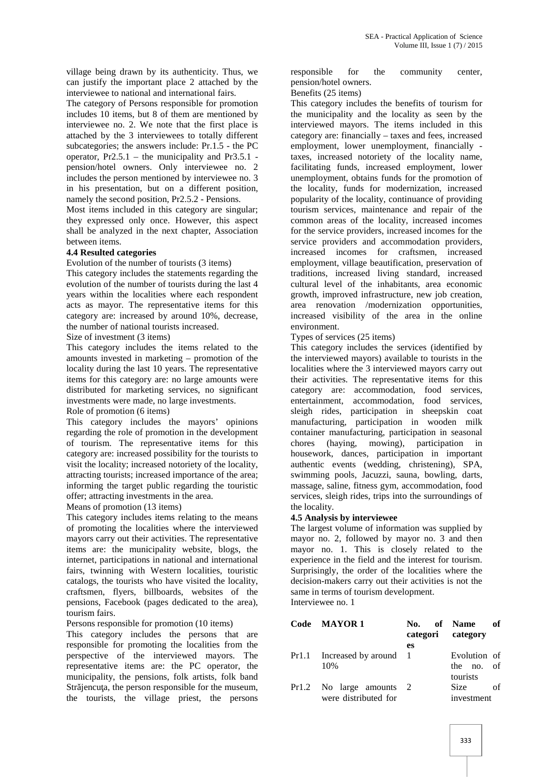village being drawn by its authenticity. Thus, we can justify the important place 2 attached by the interviewee to national and international fairs.

The category of Persons responsible for promotion includes 10 items, but 8 of them are mentioned by interviewee no. 2. We note that the first place is attached by the 3 interviewees to totally different subcategories; the answers include: Pr.1.5 - the PC operator, Pr2.5.1 – the municipality and Pr3.5.1 pension/hotel owners. Only interviewee no. 2 includes the person mentioned by interviewee no. 3 in his presentation, but on a different position, namely the second position, Pr2.5.2 - Pensions.

Most items included in this category are singular; they expressed only once. However, this aspect shall be analyzed in the next chapter, Association between items.

### **4.4 Resulted categories**

Evolution of the number of tourists (3 items)

This category includes the statements regarding the evolution of the number of tourists during the last 4 years within the localities where each respondent acts as mayor. The representative items for this category are: increased by around 10%, decrease, the number of national tourists increased.

Size of investment (3 items)

This category includes the items related to the amounts invested in marketing – promotion of the locality during the last 10 years. The representative items for this category are: no large amounts were distributed for marketing services, no significant investments were made, no large investments. Role of promotion (6 items)

This category includes the mayors' opinions regarding the role of promotion in the development of tourism. The representative items for this category are: increased possibility for the tourists to visit the locality; increased notoriety of the locality, attracting tourists; increased importance of the area; informing the target public regarding the touristic offer; attracting investments in the area.

Means of promotion (13 items)

This category includes items relating to the means of promoting the localities where the interviewed mayors carry out their activities. The representative items are: the municipality website, blogs, the internet, participations in national and international fairs, twinning with Western localities, touristic catalogs, the tourists who have visited the locality, craftsmen, flyers, billboards, websites of the pensions, Facebook (pages dedicated to the area), tourism fairs.

Persons responsible for promotion (10 items)

This category includes the persons that are responsible for promoting the localities from the perspective of the interviewed mayors. The representative items are: the PC operator, the municipality, the pensions, folk artists, folk band Str jencu a, the person responsible for the museum, the tourists, the village priest, the persons

responsible for the community center, pension/hotel owners.

#### Benefits (25 items)

This category includes the benefits of tourism for the municipality and the locality as seen by the interviewed mayors. The items included in this category are: financially – taxes and fees, increased employment, lower unemployment, financially taxes, increased notoriety of the locality name, facilitating funds, increased employment, lower unemployment, obtains funds for the promotion of the locality, funds for modernization, increased popularity of the locality, continuance of providing tourism services, maintenance and repair of the common areas of the locality, increased incomes for the service providers, increased incomes for the service providers and accommodation providers, increased incomes for craftsmen, increased employment, village beautification, preservation of traditions, increased living standard, increased cultural level of the inhabitants, area economic growth, improved infrastructure, new job creation, area renovation /modernization opportunities, increased visibility of the area in the online environment.

Types of services (25 items)

This category includes the services (identified by the interviewed mayors) available to tourists in the localities where the 3 interviewed mayors carry out their activities. The representative items for this category are: accommodation, food services, entertainment, accommodation, food services, sleigh rides, participation in sheepskin coat manufacturing, participation in wooden milk container manufacturing, participation in seasonal chores (haying, mowing), participation in housework, dances, participation in important authentic events (wedding, christening), SPA, swimming pools, Jacuzzi, sauna, bowling, darts, massage, saline, fitness gym, accommodation, food services, sleigh rides, trips into the surroundings of the locality.

# **4.5 Analysis by interviewee**

The largest volume of information was supplied by mayor no. 2, followed by mayor no. 3 and then mayor no. 1. This is closely related to the experience in the field and the interest for tourism. Surprisingly, the order of the localities where the decision-makers carry out their activities is not the same in terms of tourism development. Interviewee no. 1

| Code MAYOR 1                | No. of Name<br>categori category | - of         |
|-----------------------------|----------------------------------|--------------|
|                             | es                               |              |
| Pr1.1 Increased by around 1 |                                  | Evolution of |
| 10%                         |                                  | the no. of   |
|                             |                                  | tourists     |
| Pr1.2 No large amounts      | <sup>2</sup>                     | Size<br>Ωf   |
| were distributed for        |                                  | investment   |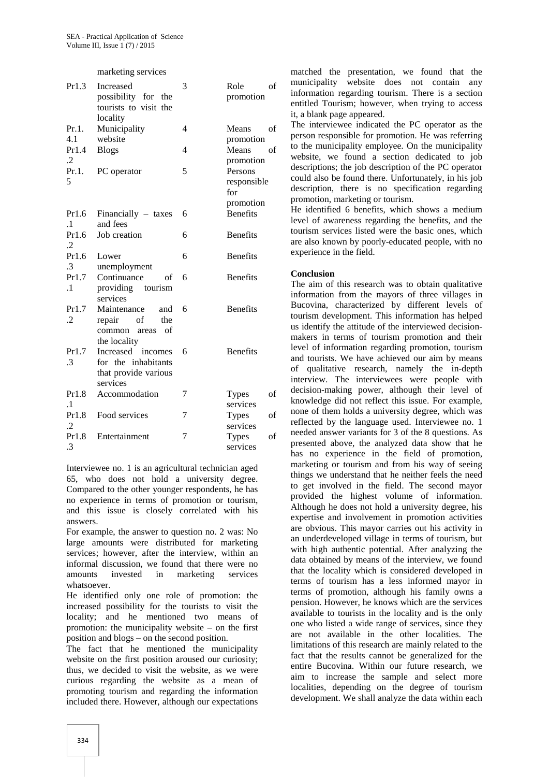#### marketing services

| Pr1.3               | Increased<br>possibility for the<br>tourists to visit the<br>locality              | 3 | of<br>Role<br>promotion                    | m<br>in<br>en<br>it,              |
|---------------------|------------------------------------------------------------------------------------|---|--------------------------------------------|-----------------------------------|
| Pr.1.<br>4.1        | Municipality<br>website                                                            | 4 | Means<br>of<br>promotion                   | Tl<br>pe                          |
| Pr1.4<br>$\cdot$ .2 | <b>Blogs</b>                                                                       | 4 | Means<br>of<br>promotion                   | to<br>W                           |
| Pr.1.<br>5          | PC operator                                                                        | 5 | Persons<br>responsible<br>for<br>promotion | de<br>cc<br>$d\epsilon$<br>pr     |
| Pr1.6<br>$\cdot$ 1  | Financially $-$ taxes<br>and fees                                                  | 6 | <b>Benefits</b>                            | H<br>le <sup>.</sup>              |
| Pr1.6<br>$\cdot$    | Job creation                                                                       | 6 | <b>Benefits</b>                            | to<br>ar                          |
| Pr1.6<br>3          | Lower<br>unemployment                                                              | 6 | <b>Benefits</b>                            | ex                                |
| Pr1.7<br>$\cdot$ 1  | Continuance<br>of<br>providing tourism<br>services                                 | 6 | <b>Benefits</b>                            | $\mathbf C$<br>TI<br>in           |
| Pr1.7<br>$\cdot$    | Maintenance<br>and<br>repair<br>οf<br>the<br>common<br>of<br>areas<br>the locality | 6 | <b>Benefits</b>                            | B <sub>1</sub><br>to<br>us<br>m   |
| Pr1.7<br>.3         | Increased incomes<br>for the inhabitants<br>that provide various<br>services       | 6 | <b>Benefits</b>                            | le <sup>-</sup><br>an<br>of<br>in |
| Pr1.8<br>$\cdot$ 1  | Accommodation                                                                      | 7 | <b>Types</b><br>of<br>services             | de<br>kr                          |
| Pr1.8<br>$\cdot$    | Food services                                                                      | 7 | <b>Types</b><br>of<br>services             | no<br>re                          |
| Pr1.8<br>.3         | Entertainment                                                                      | 7 | <b>Types</b><br>of<br>services             | ne<br>pr                          |

Interviewee no. 1 is an agricultural technician aged 65, who does not hold a university degree. Compared to the other younger respondents, he has no experience in terms of promotion or tourism, and this issue is closely correlated with his answers.

For example, the answer to question no. 2 was: No large amounts were distributed for marketing services; however, after the interview, within an informal discussion, we found that there were no amounts invested in marketing services whatsoever.

He identified only one role of promotion: the increased possibility for the tourists to visit the locality; and he mentioned two means of promotion: the municipality website – on the first position and blogs – on the second position.

The fact that he mentioned the municipality website on the first position aroused our curiosity; thus, we decided to visit the website, as we were curious regarding the website as a mean of promoting tourism and regarding the information included there. However, although our expectations

matched the presentation, we found that the municipality website does not contain any information regarding tourism. There is a section entitled Tourism; however, when trying to access it, a blank page appeared.

The interviewee indicated the PC operator as the person responsible for promotion. He was referring to the municipality employee. On the municipality website, we found a section dedicated to job descriptions; the job description of the PC operator could also be found there. Unfortunately, in his job description, there is no specification regarding promotion, marketing or tourism.

He identified 6 benefits, which shows a medium level of awareness regarding the benefits, and the tourism services listed were the basic ones, which are also known by poorly-educated people, with no experience in the field.

#### **Conclusion**

The aim of this research was to obtain qualitative information from the mayors of three villages in Bucovina, characterized by different levels of tourism development. This information has helped us identify the attitude of the interviewed decision makers in terms of tourism promotion and their level of information regarding promotion, tourism and tourists. We have achieved our aim by means of qualitative research, namely the in-depth interview. The interviewees were people with decision-making power, although their level of knowledge did not reflect this issue. For example, none of them holds a university degree, which was reflected by the language used. Interviewee no. 1 needed answer variants for 3 of the 8 questions. As presented above, the analyzed data show that he has no experience in the field of promotion, marketing or tourism and from his way of seeing things we understand that he neither feels the need to get involved in the field. The second mayor provided the highest volume of information. Although he does not hold a university degree, his expertise and involvement in promotion activities are obvious. This mayor carries out his activity in an underdeveloped village in terms of tourism, but with high authentic potential. After analyzing the data obtained by means of the interview, we found that the locality which is considered developed in terms of tourism has a less informed mayor in terms of promotion, although his family owns a pension. However, he knows which are the services available to tourists in the locality and is the only one who listed a wide range of services, since they are not available in the other localities. The limitations of this research are mainly related to the fact that the results cannot be generalized for the entire Bucovina. Within our future research, we aim to increase the sample and select more localities, depending on the degree of tourism development. We shall analyze the data within each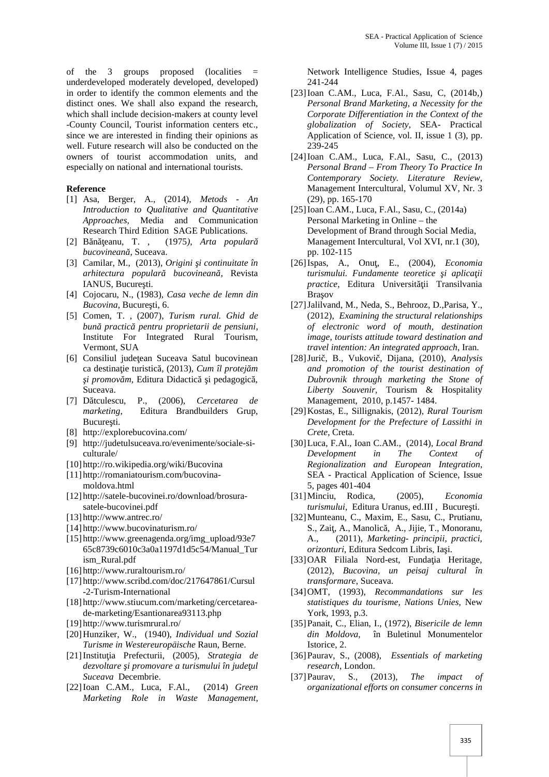of the 3 groups proposed (localities = underdeveloped moderately developed, developed) in order to identify the common elements and the distinct ones. We shall also expand the research, which shall include decision-makers at county level -County Council, Tourist information centers etc., since we are interested in finding their opinions as well. Future research will also be conducted on the owners of tourist accommodation units, and especially on national and international tourists.

## **Reference**

- [1] Asa, Berger, A., (2014), *Metods - An Introduction to Qualitative and Quantitative Approaches,* Media and Communication Research Third Edition SAGE Publications.
- [2] B n eanu, T., (1975), *Arta popular bucovinean*, Suceava.
- [3] Camilar, M., (2013), *Origini i continuitate în arhitectura popular bucovinean*, Revista IANUS, Bucure ti.
- [4] Cojocaru, N., (1983), *Casa veche de lemn din Bucovina*, Bucure ti, 6.
- [5] Comen, T. , (2007), *Turism rural. Ghid de bună practică pentru proprietarii de pensiuni*, Institute For Integrated Rural Tourism, Vermont, SUA
- [6] Consiliul jude ean Suceava Satul bucovinean ca destina ie turistic<sub>3</sub>, (2013), *Cum îl protej m i promov m*, Editura Didactic *i pedagogic*, Suceava.
- [7] D tculescu, P., (2006), *Cercetarea de marketing*, Editura Brandbuilders Grup, Bucure ti.
- [8] http://explorebucovina.com/
- [9] http://judetulsuceava.ro/evenimente/sociale-si culturale/
- [10] http://ro.wikipedia.org/wiki/Bucovina
- [11] http://romaniatourism.com/bucovina moldova.html
- [12] http://satele-bucovinei.ro/download/brosura satele-bucovinei.pdf
- [13] http://www.antrec.ro/
- [14] http://www.bucovinaturism.ro/
- [15] http://www.greenagenda.org/img\_upload/93e7 65c8739c6010c3a0a1197d1d5c54/Manual\_Tur ism\_Rural.pdf
- [16] http://www.ruraltourism.ro/
- [17] http://www.scribd.com/doc/217647861/Cursul -2-Turism-International
- [18] http://www.stiucum.com/marketing/cercetarea de-marketing/Esantionarea93113.php
- [19] http://www.turismrural.ro/
- [20]Hunziker, W., (1940), *Individual und Sozial Turisme in Westereuropäische* Raun, Berne.
- [21]Institu ia Prefecturii, (2005), *Strategia de* dezvoltare *i promovare a turismului în jude ul Suceava* Decembrie.
- [22]Ioan C.AM., Luca, F.Al., (2014) *Green Marketing Role in Waste Management,*

Network Intelligence Studies, Issue 4, pages 241-244

- [23]Ioan C.AM., Luca, F.Al., Sasu, C, (2014b,) *Personal Brand Marketing, a Necessity for the Corporate Differentiation in the Context of the globalization of Society*, SEA- Practical Application of Science, vol. II, issue 1 (3), pp. 239-245
- [24]Ioan C.AM., Luca, F.Al., Sasu, C., (2013) *Personal Brand – From Theory To Practice In Contemporary Society. Literature Review*, Management Intercultural, Volumul XV, Nr. 3 (29), pp. 165-170
- [25]Ioan C.AM., Luca, F.Al., Sasu, C., (2014a) Personal Marketing in Online – the Development of Brand through Social Media, Management Intercultural, Vol XVI, nr.1 (30), pp. 102-115
- [26]Ispas, A., Onu, E., (2004), *Economia turismului. Fundamente teoretice i aplica ii practice*, Editura Universit ii Transilvania Bra ov
- [27]Jalilvand, M., Neda, S., Behrooz, D.,Parisa, Y., (2012), *Examining the structural relationships of electronic word of mouth, destination image, tourists attitude toward destination and travel intention: An integrated approach*, Iran.
- [28]Jurič, B., Vukovič, Dijana, (2010), *Analysis and promotion of the tourist destination of Dubrovnik through marketing the Stone of Liberty Souvenir*, Tourism & Hospitality Management, 2010, p.1457- 1484.
- [29]Kostas, E., Sillignakis, (2012), *Rural Tourism Development for the Prefecture of Lassithi in Crete*, Creta.
- [30]Luca, F.Al., Ioan C.AM., (2014), *Local Brand Development in The Context of Regionalization and European Integration*, SEA - Practical Application of Science, Issue 5, pages 401-404
- [31]Minciu, Rodica, (2005), *Economia* turismului, Editura Uranus, ed.III, Bucure ti.
- [32]Munteanu, C., Maxim, E., Sasu, C., Prutianu, S., Zai, A., Manolic, A., Jijie, T., Monoranu, A., (2011), *Marketing- principii, practici,*  $orizon turi$ , Editura Sedcom Libris, Ia i.
- [33]OAR Filiala Nord-est, Funda ia Heritage, (2012), *Bucovina, un peisaj cultural în transformare*, Suceava.
- [34]OMT, (1993), *Recommandations sur les statistiques du tourisme, Nations Unies*, New York, 1993, p.3.
- [35]Panait, C., Elian, I., (1972), *Bisericile de lemn din Moldova*, în Buletinul Monumentelor Istorice, 2.
- [36]Paurav, S., (2008), *Essentials of marketing research*, London.
- [37]Paurav, S., (2013), *The impact of organizational efforts on consumer concerns in*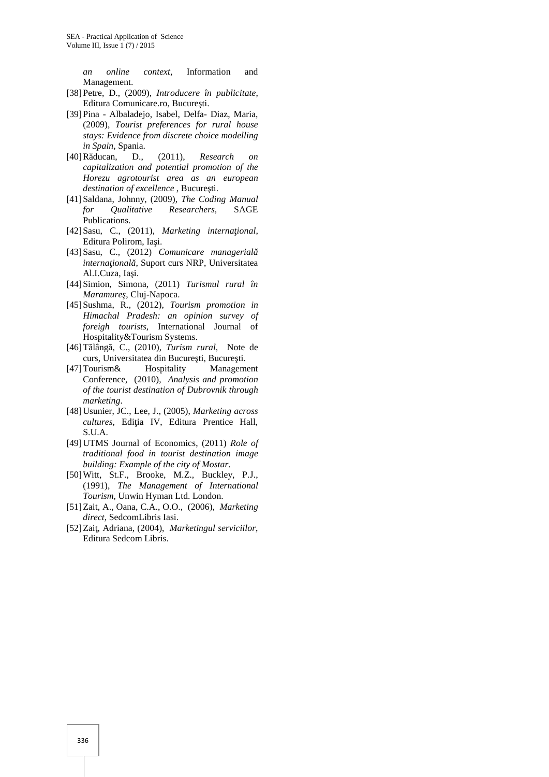*an online context*, Information and Management.

- [38]Petre, D., (2009), *Introducere în publicitate*, Editura Comunicare.ro, Bucure ti.
- [39]Pina Albaladejo, Isabel, Delfa- Diaz, Maria, (2009), *Tourist preferences for rural house stays: Evidence from discrete choice modelling in Spain*, Spania.
- [40]Răducan, D., (2011), *Research on capitalization and potential promotion of the Horezu agrotourist area as an european destination of excellence*, Bucure ti.
- [41]Saldana, Johnny, (2009), *The Coding Manual for Qualitative Researchers*, SAGE Publications.
- [42]Sasu, C., (2011), *Marketing interna ional*, Editura Polirom, Ia i.
- [43]Sasu, C., (2012) *Comunicare managerial interna ional*, Suport curs NRP, Universitatea Al.I.Cuza, Ia i.
- [44]Simion, Simona, (2011) *Turismul rural în Maramure*, Cluj-Napoca.
- [45]Sushma, R., (2012), *Tourism promotion in Himachal Pradesh: an opinion survey of foreigh tourists*, International Journal of Hospitality&Tourism Systems.
- [46] T lâng, C., (2010), *Turism rural*, Note de curs, Universitatea din Bucure ti, Bucure ti.
- [47]Tourism& Hospitality Management Conference, (2010), *Analysis and promotion of the tourist destination of Dubrovnik through marketing*.
- [48]Usunier, JC., Lee, J., (2005), *Marketing across cultures*, Edi ia IV, Editura Prentice Hall, S.U.A.
- [49]UTMS Journal of Economics, (2011) *Role of traditional food in tourist destination image building: Example of the city of Mostar*.
- [50]Witt, St.F., Brooke, M.Z., Buckley, P.J., (1991), *The Management of International Tourism*, Unwin Hyman Ltd. London.
- [51]Zait, A., Oana, C.A., O.O., (2006), *Marketing direct*, SedcomLibris Iasi.
- [52]Zaiţ, Adriana, (2004), *Marketingul serviciilor*, Editura Sedcom Libris.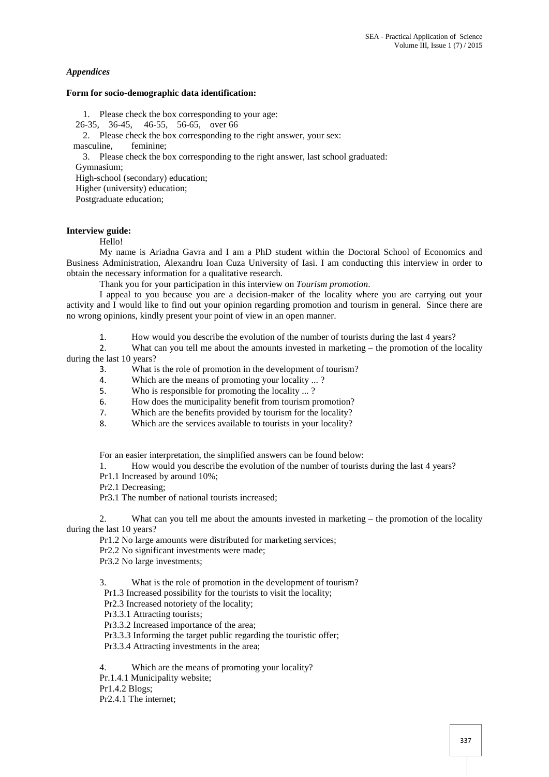# *Appendices*

#### **Form for socio-demographic data identification:**

1. Please check the box corresponding to your age:

26-35, 36-45, 46-55, 56-65, over 66

2. Please check the box corresponding to the right answer, your sex:<br>masculine. feminine:

feminine:

3. Please check the box corresponding to the right answer, last school graduated:

Gymnasium;

High-school (secondary) education; Higher (university) education;

Postgraduate education;

# **Interview guide:**

Hello!

My name is Ariadna Gavra and I am a PhD student within the Doctoral School of Economics and Business Administration, Alexandru Ioan Cuza University of Iasi. I am conducting this interview in order to obtain the necessary information for a qualitative research.

Thank you for your participation in this interview on *Tourism promotion*.

I appeal to you because you are a decision-maker of the locality where you are carrying out your activity and I would like to find out your opinion regarding promotion and tourism in general. Since there are no wrong opinions, kindly present your point of view in an open manner.

1. How would you describe the evolution of the number of tourists during the last 4 years?<br>2. What can you tell me about the amounts invested in marketing – the promotion of the l

What can you tell me about the amounts invested in marketing – the promotion of the locality during the last 10 years?

- 3. What is the role of promotion in the development of tourism?
- 4. Which are the means of promoting your locality ... ?
- 5. Who is responsible for promoting the locality ... ?
- 6. How does the municipality benefit from tourism promotion?
- 7. Which are the benefits provided by tourism for the locality?
- 8. Which are the services available to tourists in your locality?

For an easier interpretation, the simplified answers can be found below:

1. How would you describe the evolution of the number of tourists during the last 4 years?

- Pr1.1 Increased by around 10%;
- Pr2.1 Decreasing;

Pr3.1 The number of national tourists increased;

2. What can you tell me about the amounts invested in marketing – the promotion of the locality during the last 10 years?

Pr1.2 No large amounts were distributed for marketing services;

Pr2.2 No significant investments were made;

Pr3.2 No large investments;

3. What is the role of promotion in the development of tourism?

Pr1.3 Increased possibility for the tourists to visit the locality;

Pr2.3 Increased notoriety of the locality;

Pr3.3.1 Attracting tourists;

Pr3.3.2 Increased importance of the area;

Pr3.3.3 Informing the target public regarding the touristic offer;

Pr3.3.4 Attracting investments in the area;

4. Which are the means of promoting your locality?

Pr.1.4.1 Municipality website;

Pr1.4.2 Blogs;

Pr2.4.1 The internet;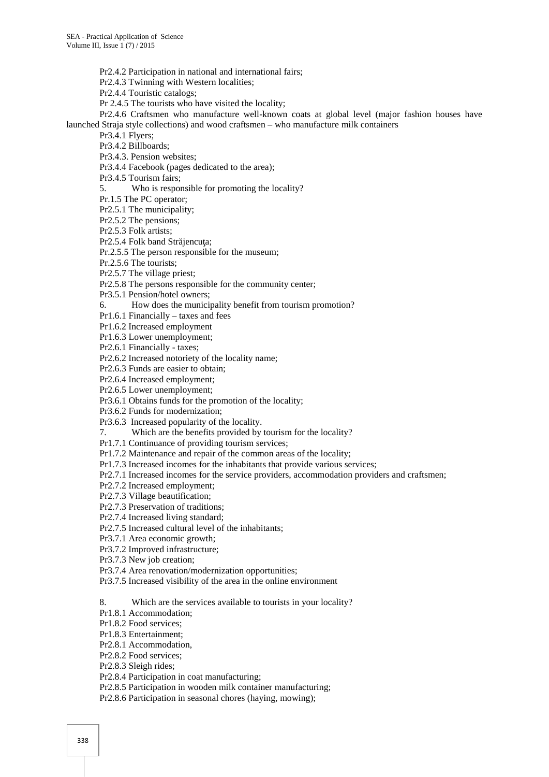Pr2.4.2 Participation in national and international fairs;

Pr2.4.3 Twinning with Western localities;

Pr2.4.4 Touristic catalogs;

Pr 2.4.5 The tourists who have visited the locality;

Pr2.4.6 Craftsmen who manufacture well-known coats at global level (major fashion houses have launched Straja style collections) and wood craftsmen – who manufacture milk containers

Pr3.4.1 Flyers;

Pr3.4.2 Billboards;

Pr3.4.3. Pension websites;

Pr3.4.4 Facebook (pages dedicated to the area);

Pr3.4.5 Tourism fairs;

5. Who is responsible for promoting the locality?

Pr.1.5 The PC operator;

Pr2.5.1 The municipality;

Pr2.5.2 The pensions;

Pr2.5.3 Folk artists;

Pr2.5.4 Folk band Str jencu a;

Pr.2.5.5 The person responsible for the museum;

Pr.2.5.6 The tourists;

Pr2.5.7 The village priest;

Pr2.5.8 The persons responsible for the community center;

Pr3.5.1 Pension/hotel owners;

6. How does the municipality benefit from tourism promotion?

Pr1.6.1 Financially – taxes and fees

Pr1.6.2 Increased employment

Pr1.6.3 Lower unemployment;

Pr2.6.1 Financially - taxes;

Pr2.6.2 Increased notoriety of the locality name;

Pr2.6.3 Funds are easier to obtain;

Pr2.6.4 Increased employment;

Pr2.6.5 Lower unemployment;

Pr3.6.1 Obtains funds for the promotion of the locality;

Pr3.6.2 Funds for modernization;

Pr3.6.3 Increased popularity of the locality.

7. Which are the benefits provided by tourism for the locality?

Pr1.7.1 Continuance of providing tourism services;

Pr1.7.2 Maintenance and repair of the common areas of the locality;

Pr1.7.3 Increased incomes for the inhabitants that provide various services;

Pr2.7.1 Increased incomes for the service providers, accommodation providers and craftsmen;

Pr2.7.2 Increased employment;

Pr2.7.3 Village beautification;

Pr2.7.3 Preservation of traditions;

Pr2.7.4 Increased living standard;

Pr2.7.5 Increased cultural level of the inhabitants;

Pr3.7.1 Area economic growth;

Pr3.7.2 Improved infrastructure;

Pr3.7.3 New job creation;

Pr3.7.4 Area renovation/modernization opportunities;

Pr3.7.5 Increased visibility of the area in the online environment

8. Which are the services available to tourists in your locality?

Pr1.8.1 Accommodation;

Pr1.8.2 Food services;

Pr1.8.3 Entertainment;

Pr2.8.1 Accommodation,

Pr2.8.2 Food services;

Pr2.8.3 Sleigh rides;

Pr2.8.4 Participation in coat manufacturing;

Pr2.8.5 Participation in wooden milk container manufacturing;

Pr2.8.6 Participation in seasonal chores (haying, mowing);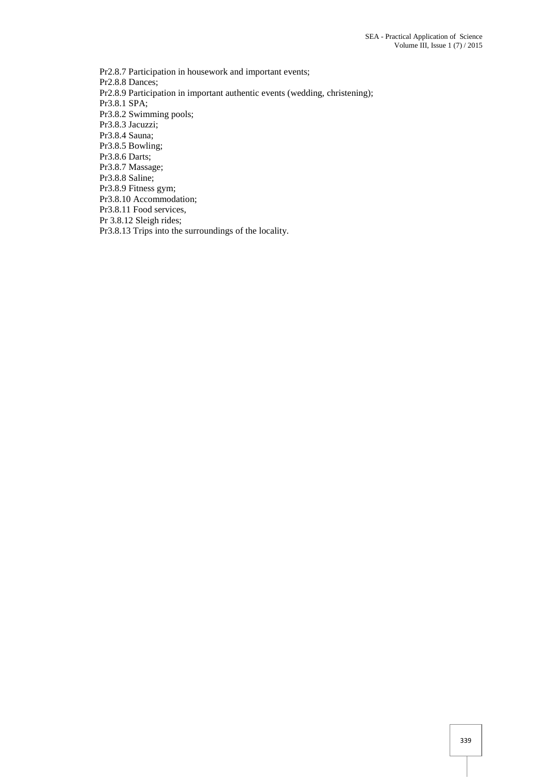Pr2.8.7 Participation in housework and important events; Pr2.8.8 Dances; Pr2.8.9 Participation in important authentic events (wedding, christening); Pr3.8.1 SPA; Pr3.8.2 Swimming pools; Pr3.8.3 Jacuzzi; Pr3.8.4 Sauna; Pr3.8.5 Bowling; Pr3.8.6 Darts; Pr3.8.7 Massage; Pr3.8.8 Saline; Pr3.8.9 Fitness gym; Pr3.8.10 Accommodation; Pr3.8.11 Food services, Pr 3.8.12 Sleigh rides; Pr3.8.13 Trips into the surroundings of the locality.